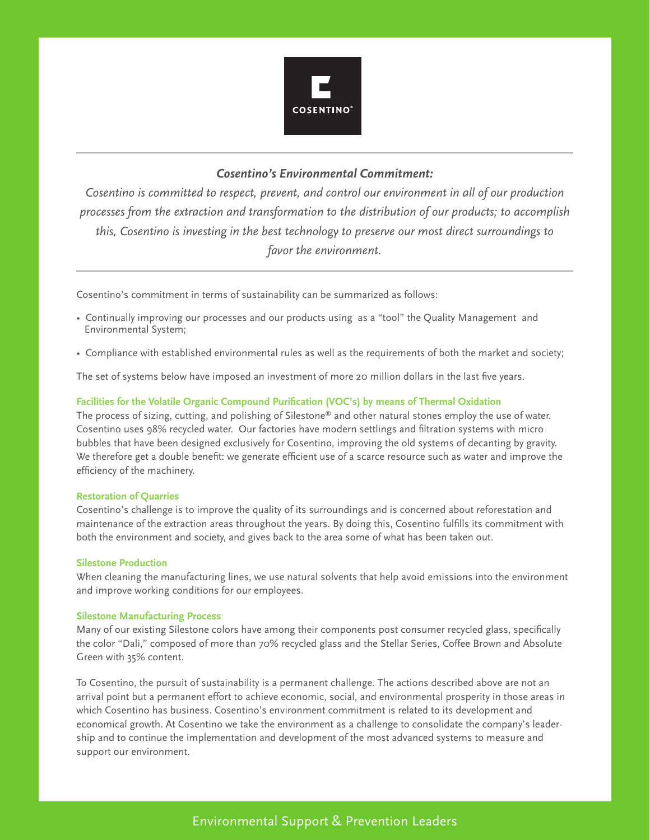

### *Cosentino's Environmental Commitment:*

*Cosentino is committed to respect, prevent, and control our environment in all of our production processes from the extraction and transformation to the distribution of our products; to accomplish this, Cosentino is investing in the best technology to preserve our most direct surroundings to favor the environment.* 

Cosentino's commitment in terms of sustainability can be summarized as follows:

- Continually improving our processes and our products using as a "tool" the Quality Management and Environmental System;
- Compliance with established environmental rules as well as the requirements of both the market and society;

The set of systems below have imposed an investment of more 20 million dollars in the last five years.

### **Facilities for the Volatile Organic Compound Purification (VOC's) by means of Thermal Oxidation**

The process of sizing, cutting, and polishing of Silestone® and other natural stones employ the use of water. Cosentino uses 98% recycled water. Our factories have modern settlings and filtration systems with micro bubbles that have been designed exclusively for Cosentino, improving the old systems of decanting by gravity. We therefore get a double benefit: we generate efficient use of a scarce resource such as water and improve the efficiency of the machinery.

### **Restoration of Quarries**

Cosentino's challenge is to improve the quality of its surroundings and is concerned about reforestation and maintenance of the extraction areas throughout the years. By doing this, Cosentino fulfills its commitment with both the environment and society, and gives back to the area some of what has been taken out.

### **Silestone Production**

When cleaning the manufacturing lines, we use natural solvents that help avoid emissions into the environment and improve working conditions for our employees.

### **Silestone Manufacturing Process**

Many of our existing Silestone colors have among their components post consumer recycled glass, specifically the color "Dali," composed of more than 70% recycled glass and the Stellar Series, Coffee Brown and Absolute Green with 35% content.

To Cosentino, the pursuit of sustainability is a permanent challenge. The actions described above are not an arrival point but a permanent effort to achieve economic, social, and environmental prosperity in those areas in which Cosentino has business. Cosentino's environment commitment is related to its development and economical growth. At Cosentino we take the environment as a challenge to consolidate the company's leadership and to continue the implementation and development of the most advanced systems to measure and support our environment.